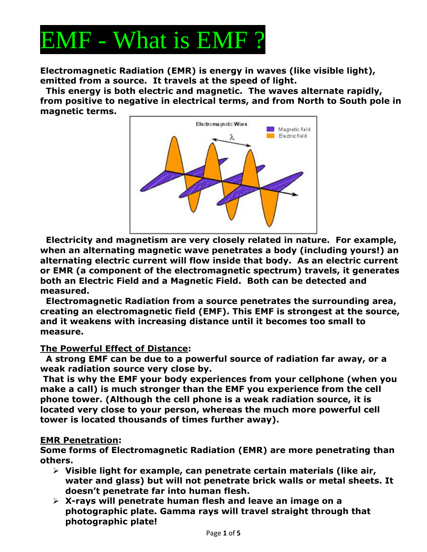

**Electromagnetic Radiation (EMR) is energy in waves (like visible light), emitted from a source. It travels at the speed of light.** 

**This energy is both electric and magnetic. The waves alternate rapidly, from positive to negative in electrical terms, and from North to South pole in magnetic terms.** 



**Electricity and magnetism are very closely related in nature. For example, when an alternating magnetic wave penetrates a body (including yours!) an alternating electric current will flow inside that body. As an electric current or EMR (a component of the electromagnetic spectrum) travels, it generates both an Electric Field and a Magnetic Field. Both can be detected and measured.** 

**Electromagnetic Radiation from a source penetrates the surrounding area, creating an electromagnetic field (EMF). This EMF is strongest at the source, and it weakens with increasing distance until it becomes too small to measure.** 

#### **The Powerful Effect of Distance:**

**A strong EMF can be due to a powerful source of radiation far away, or a weak radiation source very close by.** 

**That is why the EMF your body experiences from your cellphone (when you make a call) is much stronger than the EMF you experience from the cell phone tower. (Although the cell phone is a weak radiation source, it is located very close to your person, whereas the much more powerful cell tower is located thousands of times further away).** 

#### **EMR Penetration:**

**Some forms of Electromagnetic Radiation (EMR) are more penetrating than others.** 

- ➢ **Visible light for example, can penetrate certain materials (like air, water and glass) but will not penetrate brick walls or metal sheets. It doesn't penetrate far into human flesh.**
- ➢ **X-rays will penetrate human flesh and leave an image on a photographic plate. Gamma rays will travel straight through that photographic plate!**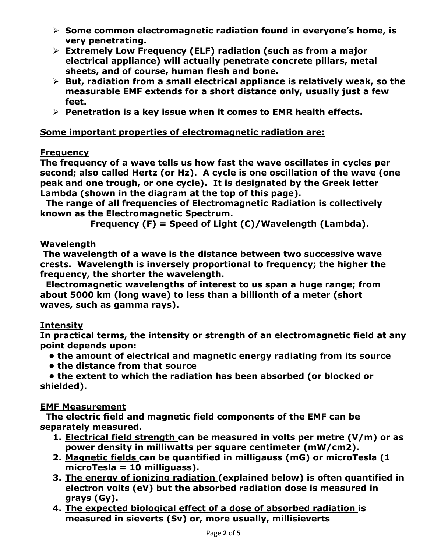- ➢ **Some common electromagnetic radiation found in everyone's home, is very penetrating.**
- ➢ **Extremely Low Frequency (ELF) radiation (such as from a major electrical appliance) will actually penetrate concrete pillars, metal sheets, and of course, human flesh and bone.**
- ➢ **But, radiation from a small electrical appliance is relatively weak, so the measurable EMF extends for a short distance only, usually just a few feet.**
- ➢ **Penetration is a key issue when it comes to EMR health effects.**

### **Some important properties of electromagnetic radiation are:**

### **Frequency**

**The frequency of a wave tells us how fast the wave oscillates in cycles per second; also called Hertz (or Hz). A cycle is one oscillation of the wave (one peak and one trough, or one cycle). It is designated by the Greek letter Lambda (shown in the diagram at the top of this page).** 

**The range of all frequencies of Electromagnetic Radiation is collectively known as the Electromagnetic Spectrum.** 

**Frequency (F) = Speed of Light (C)/Wavelength (Lambda).**

## **Wavelength**

**The wavelength of a wave is the distance between two successive wave crests. Wavelength is inversely proportional to frequency; the higher the frequency, the shorter the wavelength.** 

**Electromagnetic wavelengths of interest to us span a huge range; from about 5000 km (long wave) to less than a billionth of a meter (short waves, such as gamma rays).** 

## **Intensity**

**In practical terms, the intensity or strength of an electromagnetic field at any point depends upon:** 

- **the amount of electrical and magnetic energy radiating from its source**
- **the distance from that source**

 **• the extent to which the radiation has been absorbed (or blocked or shielded).** 

#### **EMF Measurement**

**The electric field and magnetic field components of the EMF can be separately measured.** 

- **1. Electrical field strength can be measured in volts per metre (V/m) or as power density in milliwatts per square centimeter (mW/cm2).**
- **2. Magnetic fields can be quantified in milligauss (mG) or microTesla (1 microTesla = 10 milliguass).**
- **3. The energy of ionizing radiation (explained below) is often quantified in electron volts (eV) but the absorbed radiation dose is measured in grays (Gy).**
- **4. The expected biological effect of a dose of absorbed radiation is measured in sieverts (Sv) or, more usually, millisieverts**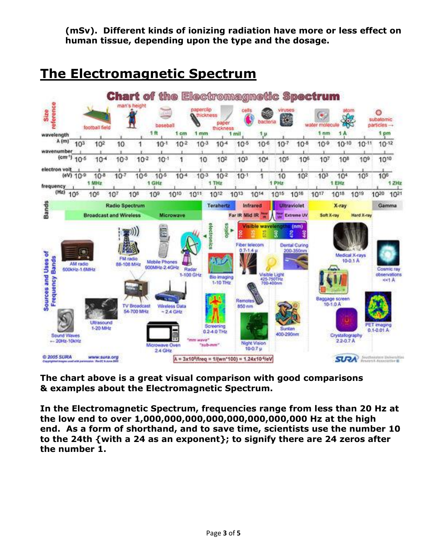**(mSv). Different kinds of ionizing radiation have more or less effect on human tissue, depending upon the type and the dosage.** 

# **The Electromagnetic Spectrum**



**The chart above is a great visual comparison with good comparisons & examples about the Electromagnetic Spectrum.**

**In the Electromagnetic Spectrum, frequencies range from less than 20 Hz at the low end to over 1,000,000,000,000,000,000,000,000 Hz at the high end. As a form of shorthand, and to save time, scientists use the number 10 to the 24th {with a 24 as an exponent}; to signify there are 24 zeros after the number 1.**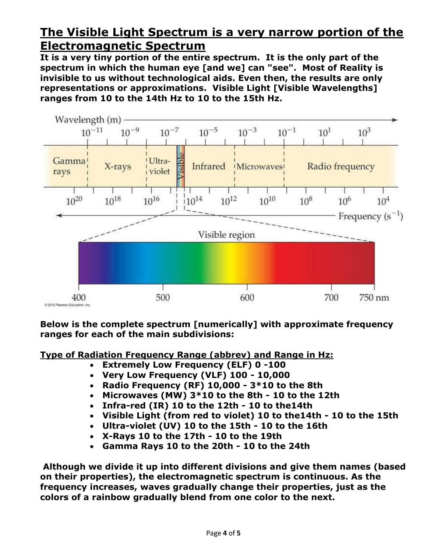# **The Visible Light Spectrum is a very narrow portion of the Electromagnetic Spectrum**

**It is a very tiny portion of the entire spectrum. It is the only part of the spectrum in which the human eye [and we] can "see". Most of Reality is invisible to us without technological aids. Even then, the results are only representations or approximations. Visible Light [Visible Wavelengths] ranges from 10 to the 14th Hz to 10 to the 15th Hz.** 



**Below is the complete spectrum [numerically] with approximate frequency ranges for each of the main subdivisions:** 

**Type of Radiation Frequency Range (abbrev) and Range in Hz:**

- **Extremely Low Frequency (ELF) 0 -100**
- **Very Low Frequency (VLF) 100 - 10,000**
- **Radio Frequency (RF) 10,000 - 3\*10 to the 8th**
- **Microwaves (MW) 3\*10 to the 8th - 10 to the 12th**
- **Infra-red (IR) 10 to the 12th - 10 to the14th**
- **Visible Light (from red to violet) 10 to the14th - 10 to the 15th**
- **Ultra-violet (UV) 10 to the 15th - 10 to the 16th**
- **X-Rays 10 to the 17th - 10 to the 19th**
- **Gamma Rays 10 to the 20th - 10 to the 24th**

**Although we divide it up into different divisions and give them names (based on their properties), the electromagnetic spectrum is continuous. As the frequency increases, waves gradually change their properties, just as the colors of a rainbow gradually blend from one color to the next.**